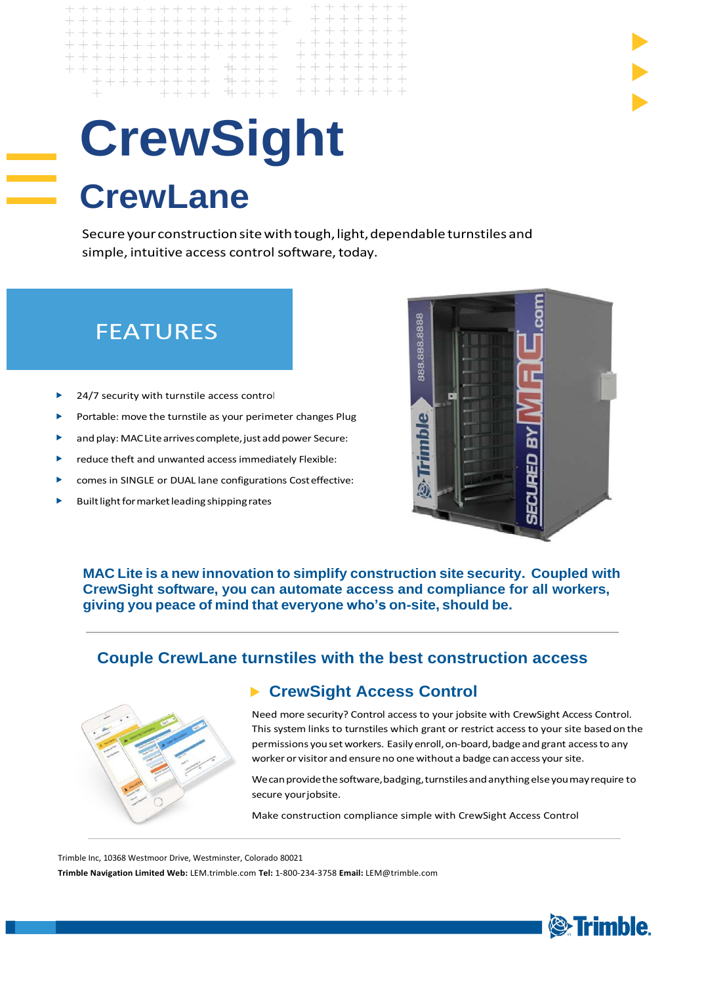# **CrewSight CrewLane**

 $+ + + + + + +$ 

+++++++++++ ++++ ++++++

 $+ + + +$ 

+++++++++++++++

++++++++++++++

++++++++++++++++

 $\perp$ 

Secure your construction site with tough, light, dependable turnstiles and simple, intuitive access control software, today.

 $\!+\!$ 

 $\! + \!$ 

+ + + + + +

 $+ + + + + +$  $+ + + + + + +$ 

# **FEATURES**

- 24/7 security with turnstile access control
- Portable: move the turnstile as your perimeter changes Plug
- and play: MAC Lite arrives complete, just add power Secure: ь
- reduce theft and unwanted access immediately Flexible:
- comes in SINGLE or DUAL lane configurations Costeffective:
- Built light for market leading shipping rates



**MAC Lite is a new innovation to simplify construction site security. Coupled with CrewSight software, you can automate access and compliance for all workers, giving you peace of mind that everyone who's on-site, should be.**

#### **Couple CrewLane turnstiles with the best construction access**



#### **CrewSight Access Control**  $\blacktriangleright$

Need more security? Control access to your jobsite with CrewSight Access Control. This system links to turnstiles which grant or restrict access to your site basedon the permissions you set workers. Easily enroll, on-board, badge and grant access to any worker or visitor and ensureno one without a badge canaccess your site.

We can provide the software, badging, turnstiles and anything else you may require to secure your jobsite.

Make construction compliance simple with CrewSight Access Control

Trimble Inc, 10368 Westmoor Drive, Westminster, Colorado 80021

**Trimble Navigation Limited Web:** LEM.trimble.com **Tel:** 1-800-234-3758 **Email:** [LEM@trimble.com](mailto:LEM@trimble.com)